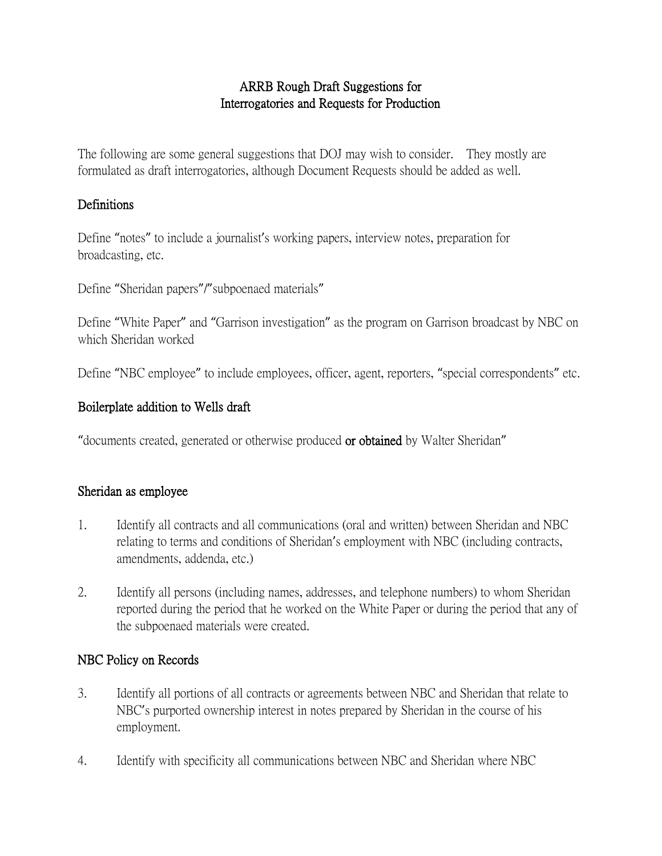# ARRB Rough Draft Suggestions for Interrogatories and Requests for Production

The following are some general suggestions that DOJ may wish to consider. They mostly are formulated as draft interrogatories, although Document Requests should be added as well.

# Definitions

Define "notes" to include a journalist's working papers, interview notes, preparation for broadcasting, etc.

Define "Sheridan papers"/"subpoenaed materials"

Define "White Paper" and "Garrison investigation" as the program on Garrison broadcast by NBC on which Sheridan worked

Define "NBC employee" to include employees, officer, agent, reporters, "special correspondents" etc.

# Boilerplate addition to Wells draft

"documents created, generated or otherwise produced or obtained by Walter Sheridan"

### Sheridan as employee

- 1. Identify all contracts and all communications (oral and written) between Sheridan and NBC relating to terms and conditions of Sheridan's employment with NBC (including contracts, amendments, addenda, etc.)
- 2. Identify all persons (including names, addresses, and telephone numbers) to whom Sheridan reported during the period that he worked on the White Paper or during the period that any of the subpoenaed materials were created.

### NBC Policy on Records

- 3. Identify all portions of all contracts or agreements between NBC and Sheridan that relate to NBC's purported ownership interest in notes prepared by Sheridan in the course of his employment.
- 4. Identify with specificity all communications between NBC and Sheridan where NBC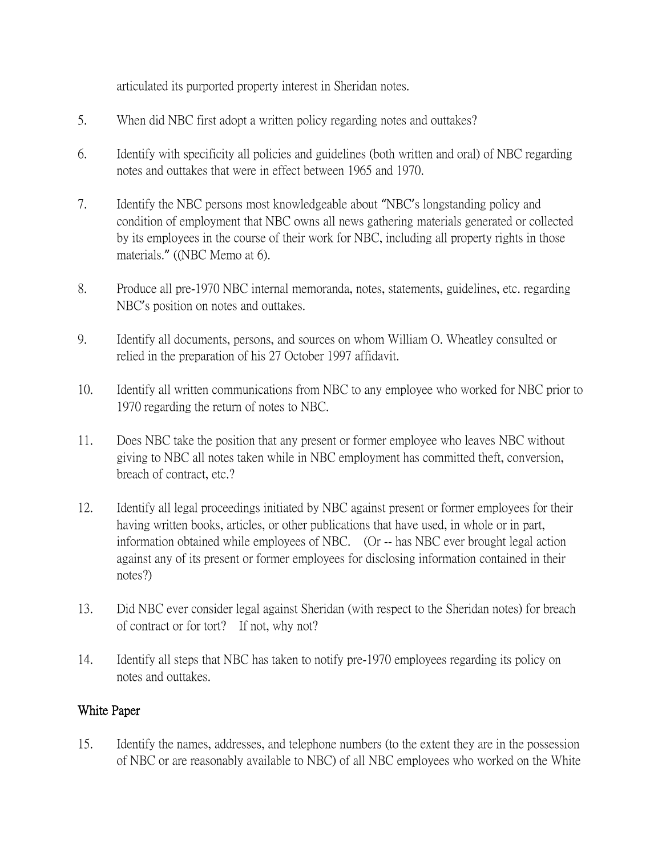articulated its purported property interest in Sheridan notes.

- 5. When did NBC first adopt a written policy regarding notes and outtakes?
- 6. Identify with specificity all policies and guidelines (both written and oral) of NBC regarding notes and outtakes that were in effect between 1965 and 1970.
- 7. Identify the NBC persons most knowledgeable about "NBC's longstanding policy and condition of employment that NBC owns all news gathering materials generated or collected by its employees in the course of their work for NBC, including all property rights in those materials." ((NBC Memo at 6).
- 8. Produce all pre-1970 NBC internal memoranda, notes, statements, guidelines, etc. regarding NBC's position on notes and outtakes.
- 9. Identify all documents, persons, and sources on whom William O. Wheatley consulted or relied in the preparation of his 27 October 1997 affidavit.
- 10. Identify all written communications from NBC to any employee who worked for NBC prior to 1970 regarding the return of notes to NBC.
- 11. Does NBC take the position that any present or former employee who leaves NBC without giving to NBC all notes taken while in NBC employment has committed theft, conversion, breach of contract, etc.?
- 12. Identify all legal proceedings initiated by NBC against present or former employees for their having written books, articles, or other publications that have used, in whole or in part, information obtained while employees of NBC. (Or -- has NBC ever brought legal action against any of its present or former employees for disclosing information contained in their notes?)
- 13. Did NBC ever consider legal against Sheridan (with respect to the Sheridan notes) for breach of contract or for tort? If not, why not?
- 14. Identify all steps that NBC has taken to notify pre-1970 employees regarding its policy on notes and outtakes.

### White Paper

15. Identify the names, addresses, and telephone numbers (to the extent they are in the possession of NBC or are reasonably available to NBC) of all NBC employees who worked on the White